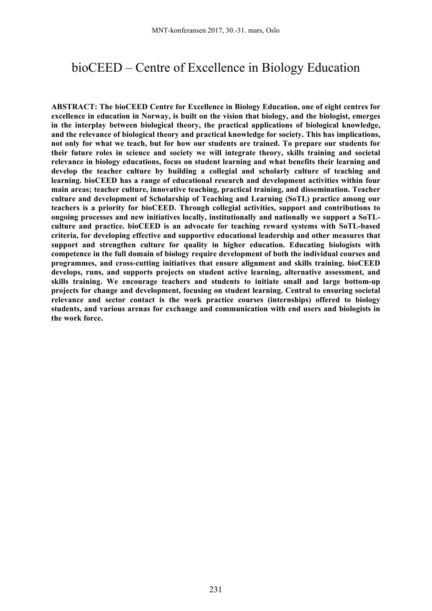# bioCEED – Centre of Excellence in Biology Education

**ABSTRACT: The bioCEED Centre for Excellence in Biology Education, one of eight centres for excellence in education in Norway, is built on the vision that biology, and the biologist, emerges in the interplay between biological theory, the practical applications of biological knowledge, and the relevance of biological theory and practical knowledge for society. This has implications, not only for what we teach, but for how our students are trained. To prepare our students for their future roles in science and society we will integrate theory, skills training and societal relevance in biology educations, focus on student learning and what benefits their learning and develop the teacher culture by building a collegial and scholarly culture of teaching and learning. bioCEED has a range of educational research and development activities within four main areas; teacher culture, innovative teaching, practical training, and dissemination. Teacher culture and development of Scholarship of Teaching and Learning (SoTL) practice among our teachers is a priority for bioCEED. Through collegial activities, support and contributions to ongoing processes and new initiatives locally, institutionally and nationally we support a SoTLculture and practice. bioCEED is an advocate for teaching reward systems with SoTL-based criteria, for developing effective and supportive educational leadership and other measures that support and strengthen culture for quality in higher education. Educating biologists with competence in the full domain of biology require development of both the individual courses and programmes, and cross-cutting initiatives that ensure alignment and skills training. bioCEED develops, runs, and supports projects on student active learning, alternative assessment, and skills training. We encourage teachers and students to initiate small and large bottom-up projects for change and development, focusing on student learning. Central to ensuring societal relevance and sector contact is the work practice courses (internships) offered to biology students, and various arenas for exchange and communication with end users and biologists in the work force.**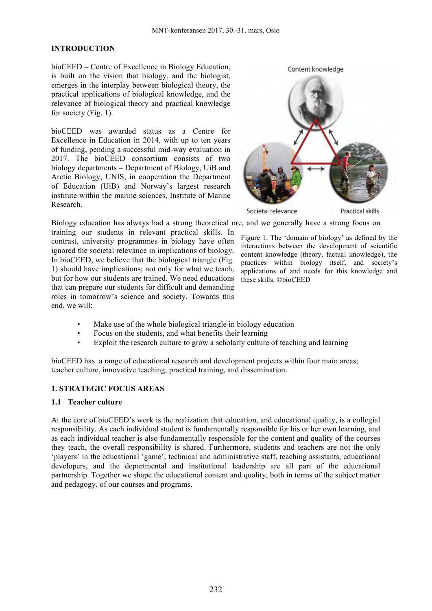#### **INTRODUCTION**

bioCEED – Centre of Excellence in Biology Education, is built on the vision that biology, and the biologist, emerges in the interplay between biological theory, the practical applications of biological knowledge, and the relevance of biological theory and practical knowledge for society (Fig. 1).

bioCEED was awarded status as a Centre for Excellence in Education in 2014, with up to ten years of funding, pending a successful mid-way evaluation in 2017. The bioCEED consortium consists of two biology departments – Department of Biology, UiB and Arctic Biology, UNIS, in cooperation the Department of Education (UiB) and Norway's largest research institute within the marine sciences, Institute of Marine Research.



Biology education has always had a strong theoretical ore, and we generally have a strong focus on

training our students in relevant practical skills. In contrast, university programmes in biology have often ignored the societal relevance in implications of biology. In bioCEED, we believe that the biological triangle (Fig. 1) should have implications; not only for what we teach, but for how our students are trained. We need educations that can prepare our students for difficult and demanding roles in tomorrow's science and society. Towards this end, we will:

Figure 1. The 'domain of biology' as defined by the interactions between the development of scientific content knowledge (theory, factual knowledge), the practices within biology itself, and society's applications of and needs for this knowledge and these skills. ©bioCEED

- Make use of the whole biological triangle in biology education
- Focus on the students, and what benefits their learning
- Exploit the research culture to grow a scholarly culture of teaching and learning

bioCEED has a range of educational research and development projects within four main areas; teacher culture, innovative teaching, practical training, and dissemination.

### **1. STRATEGIC FOCUS AREAS**

#### **1.1 Teacher culture**

At the core of bioCEED's work is the realization that education, and educational quality, is a collegial responsibility. As each individual student is fundamentally responsible for his or her own learning, and as each individual teacher is also fundamentally responsible for the content and quality of the courses they teach, the overall responsibility is shared. Furthermore, students and teachers are not the only 'players' in the educational 'game', technical and administrative staff, teaching assistants, educational developers, and the departmental and institutional leadership are all part of the educational partnership. Together we shape the educational content and quality, both in terms of the subject matter and pedagogy, of our courses and programs.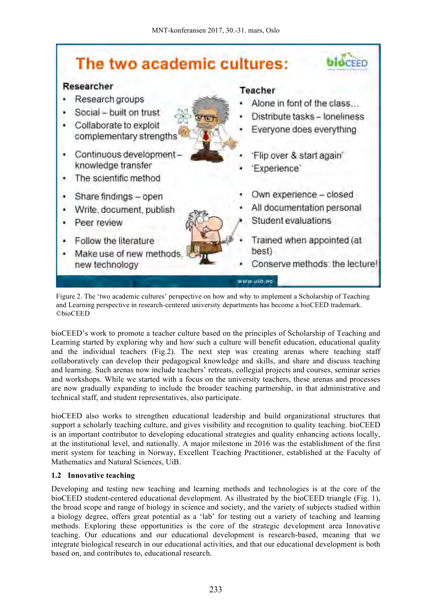

Figure 2. The 'two academic cultures' perspective on how and why to implement a Scholarship of Teaching and Learning perspective in research-centered university departments has become a bioCEED trademark. ©bioCEED

bioCEED's work to promote a teacher culture based on the principles of Scholarship of Teaching and Learning started by exploring why and how such a culture will benefit education, educational quality and the individual teachers (Fig.2). The next step was creating arenas where teaching staff collaboratively can develop their pedagogical knowledge and skills, and share and discuss teaching and learning. Such arenas now include teachers' retreats, collegial projects and courses, seminar series and workshops. While we started with a focus on the university teachers, these arenas and processes are now gradually expanding to include the broader teaching partnership, in that administrative and technical staff, and student representatives, also participate.

bioCEED also works to strengthen educational leadership and build organizational structures that support a scholarly teaching culture, and gives visibility and recognition to quality teaching. bioCEED is an important contributor to developing educational strategies and quality enhancing actions locally, at the institutional level, and nationally. A major milestone in 2016 was the establishment of the first merit system for teaching in Norway, Excellent Teaching Practitioner, established at the Faculty of Mathematics and Natural Sciences, UiB.

# **1.2 Innovative teaching**

Developing and testing new teaching and learning methods and technologies is at the core of the bioCEED student-centered educational development. As illustrated by the bioCEED triangle (Fig. 1), the broad scope and range of biology in science and society, and the variety of subjects studied within a biology degree, offers great potential as a 'lab' for testing out a variety of teaching and learning methods. Exploring these opportunities is the core of the strategic development area Innovative teaching. Our educations and our educational development is research-based, meaning that we integrate biological research in our educational activities, and that our educational development is both based on, and contributes to, educational research.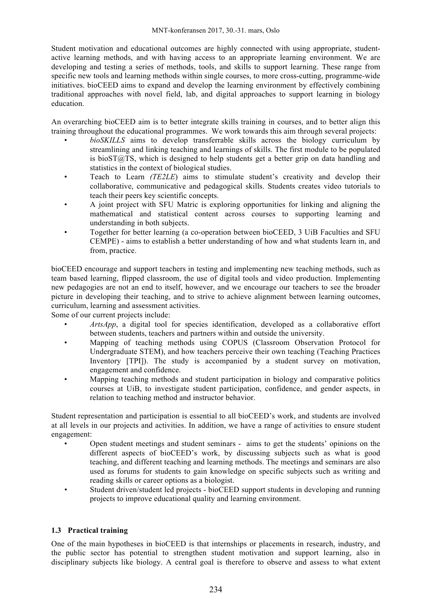Student motivation and educational outcomes are highly connected with using appropriate, studentactive learning methods, and with having access to an appropriate learning environment. We are developing and testing a series of methods, tools, and skills to support learning. These range from specific new tools and learning methods within single courses, to more cross-cutting, programme-wide initiatives. bioCEED aims to expand and develop the learning environment by effectively combining traditional approaches with novel field, lab, and digital approaches to support learning in biology education.

An overarching bioCEED aim is to better integrate skills training in courses, and to better align this training throughout the educational programmes. We work towards this aim through several projects:

- *bioSKILLS* aims to develop transferrable skills across the biology curriculum by streamlining and linking teaching and learnings of skills. The first module to be populated is bioST $@TS$ , which is designed to help students get a better grip on data handling and statistics in the context of biological studies.
- Teach to Learn *(TE2LE*) aims to stimulate student's creativity and develop their collaborative, communicative and pedagogical skills. Students creates video tutorials to teach their peers key scientific concepts.
- A joint project with SFU Matric is exploring opportunities for linking and aligning the mathematical and statistical content across courses to supporting learning and understanding in both subjects.
- Together for better learning (a co-operation between bioCEED, 3 UiB Faculties and SFU CEMPE) - aims to establish a better understanding of how and what students learn in, and from, practice.

bioCEED encourage and support teachers in testing and implementing new teaching methods, such as team based learning, flipped classroom, the use of digital tools and video production. Implementing new pedagogies are not an end to itself, however, and we encourage our teachers to see the broader picture in developing their teaching, and to strive to achieve alignment between learning outcomes, curriculum, learning and assessment activities.

Some of our current projects include:

- *ArtsApp*, a digital tool for species identification, developed as a collaborative effort between students, teachers and partners within and outside the university.
- Mapping of teaching methods using COPUS (Classroom Observation Protocol for Undergraduate STEM), and how teachers perceive their own teaching (Teaching Practices Inventory [TPI]). The study is accompanied by a student survey on motivation, engagement and confidence.
- Mapping teaching methods and student participation in biology and comparative politics courses at UiB, to investigate student participation, confidence, and gender aspects, in relation to teaching method and instructor behavior.

Student representation and participation is essential to all bioCEED's work, and students are involved at all levels in our projects and activities. In addition, we have a range of activities to ensure student engagement:

- Open student meetings and student seminars aims to get the students' opinions on the different aspects of bioCEED's work, by discussing subjects such as what is good teaching, and different teaching and learning methods. The meetings and seminars are also used as forums for students to gain knowledge on specific subjects such as writing and reading skills or career options as a biologist.
- Student driven/student led projects bioCEED support students in developing and running projects to improve educational quality and learning environment.

# **1.3 Practical training**

One of the main hypotheses in bioCEED is that internships or placements in research, industry, and the public sector has potential to strengthen student motivation and support learning, also in disciplinary subjects like biology. A central goal is therefore to observe and assess to what extent